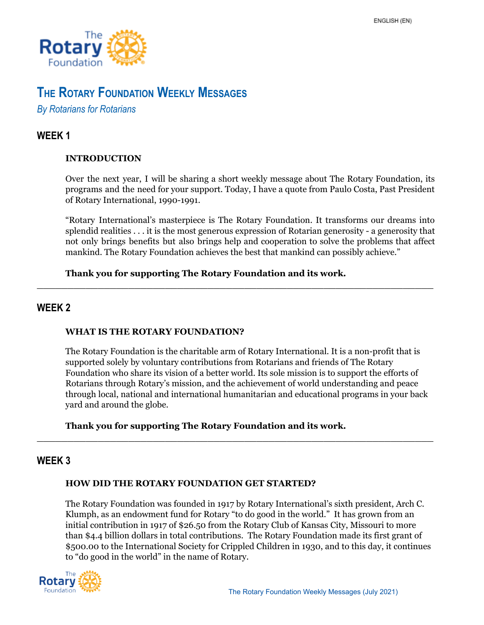

# **THE ROTARY FOUNDATION WEEKLY MESSAGES**

*By Rotarians for Rotarians*

## **WEEK 1**

## **INTRODUCTION**

Over the next year, I will be sharing a short weekly message about The Rotary Foundation, its programs and the need for your support. Today, I have a quote from Paulo Costa, Past President of Rotary International, 1990-1991.

"Rotary International's masterpiece is The Rotary Foundation. It transforms our dreams into splendid realities . . . it is the most generous expression of Rotarian generosity - a generosity that not only brings benefits but also brings help and cooperation to solve the problems that affect mankind. The Rotary Foundation achieves the best that mankind can possibly achieve."

\_\_\_\_\_\_\_\_\_\_\_\_\_\_\_\_\_\_\_\_\_\_\_\_\_\_\_\_\_\_\_\_\_\_\_\_\_\_\_\_\_\_\_\_\_\_\_\_\_\_\_\_\_\_\_\_\_\_\_\_\_\_\_\_\_

## **Thank you for supporting The Rotary Foundation and its work.**

## **WEEK 2**

## **WHAT IS THE ROTARY FOUNDATION?**

The Rotary Foundation is the charitable arm of Rotary International. It is a non-profit that is supported solely by voluntary contributions from Rotarians and friends of The Rotary Foundation who share its vision of a better world. Its sole mission is to support the efforts of Rotarians through Rotary's mission, and the achievement of world understanding and peace through local, national and international humanitarian and educational programs in your back yard and around the globe.

\_\_\_\_\_\_\_\_\_\_\_\_\_\_\_\_\_\_\_\_\_\_\_\_\_\_\_\_\_\_\_\_\_\_\_\_\_\_\_\_\_\_\_\_\_\_\_\_\_\_\_\_\_\_\_\_\_\_\_\_\_\_\_\_\_

## **Thank you for supporting The Rotary Foundation and its work.**

## **WEEK 3**

## **HOW DID THE ROTARY FOUNDATION GET STARTED?**

The Rotary Foundation was founded in 1917 by Rotary International's sixth president, Arch C. Klumph, as an endowment fund for Rotary "to do good in the world." It has grown from an initial contribution in 1917 of \$26.50 from the Rotary Club of Kansas City, Missouri to more than \$4.4 billion dollars in total contributions. The Rotary Foundation made its first grant of \$500.00 to the International Society for Crippled Children in 1930, and to this day, it continues to "do good in the world" in the name of Rotary.

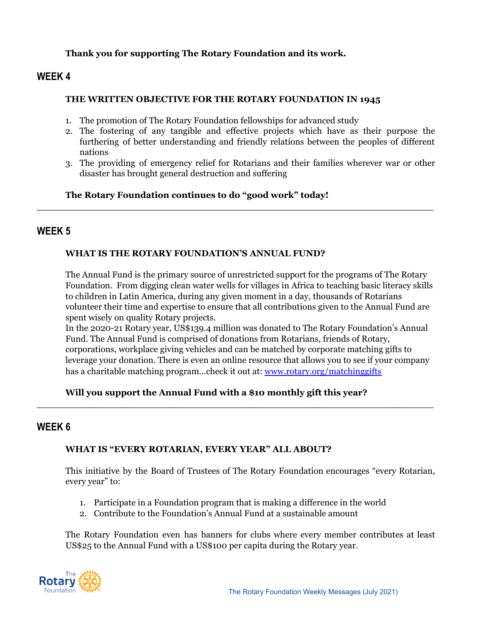### **Thank you for supporting The Rotary Foundation and its work.**

## **WEEK 4**

#### **THE WRITTEN OBJECTIVE FOR THE ROTARY FOUNDATION IN 1945**

- 1. The promotion of The Rotary Foundation fellowships for advanced study
- 2. The fostering of any tangible and effective projects which have as their purpose the furthering of better understanding and friendly relations between the peoples of different nations
- 3. The providing of emergency relief for Rotarians and their families wherever war or other disaster has brought general destruction and suffering

\_\_\_\_\_\_\_\_\_\_\_\_\_\_\_\_\_\_\_\_\_\_\_\_\_\_\_\_\_\_\_\_\_\_\_\_\_\_\_\_\_\_\_\_\_\_\_\_\_\_\_\_\_\_\_\_\_\_\_\_\_\_\_\_\_

## **The Rotary Foundation continues to do "good work" today!**

## **WEEK 5**

## **WHAT IS THE ROTARY FOUNDATION'S ANNUAL FUND?**

The Annual Fund is the primary source of unrestricted support for the programs of The Rotary Foundation. From digging clean water wells for villages in Africa to teaching basic literacy skills to children in Latin America, during any given moment in a day, thousands of Rotarians volunteer their time and expertise to ensure that all contributions given to the Annual Fund are spent wisely on quality Rotary projects.

In the 2020-21 Rotary year, US\$139.4 million was donated to The Rotary Foundation's Annual Fund. The Annual Fund is comprised of donations from Rotarians, friends of Rotary, corporations, workplace giving vehicles and can be matched by corporate matching gifts to leverage your donation. There is even an online resource that allows you to see if your company has a charitable matching program…check it out at: [www.rotary.org/matchinggifts](http://www.rotary.org/matchinggifts)

## **Will you support the Annual Fund with a \$10 monthly gift this year?**

\_\_\_\_\_\_\_\_\_\_\_\_\_\_\_\_\_\_\_\_\_\_\_\_\_\_\_\_\_\_\_\_\_\_\_\_\_\_\_\_\_\_\_\_\_\_\_\_\_\_\_\_\_\_\_\_\_\_\_\_\_\_\_\_\_

## **WEEK 6**

## **WHAT IS "EVERY ROTARIAN, EVERY YEAR" ALL ABOUT?**

This initiative by the Board of Trustees of The Rotary Foundation encourages "every Rotarian, every year" to:

- 1. Participate in a Foundation program that is making a difference in the world
- 2. Contribute to the Foundation's Annual Fund at a sustainable amount

The Rotary Foundation even has banners for clubs where every member contributes at least US\$25 to the Annual Fund with a US\$100 per capita during the Rotary year.

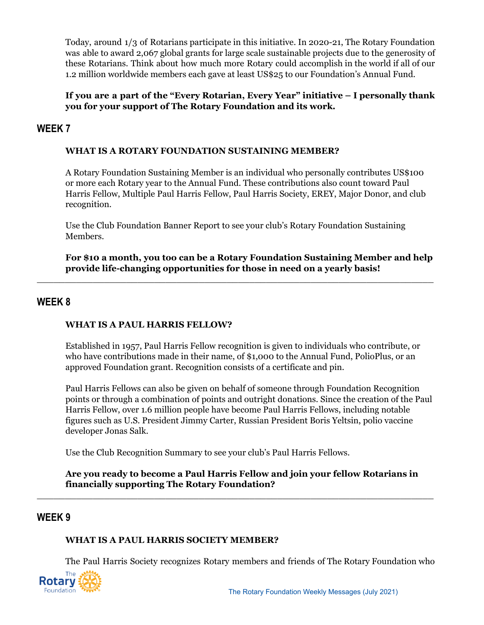Today, around 1/3 of Rotarians participate in this initiative. In 2020-21, The Rotary Foundation was able to award 2,067 global grants for large scale sustainable projects due to the generosity of these Rotarians. Think about how much more Rotary could accomplish in the world if all of our 1.2 million worldwide members each gave at least US\$25 to our Foundation's Annual Fund.

## **If you are a part of the "Every Rotarian, Every Year" initiative – I personally thank you for your support of The Rotary Foundation and its work.**

## **WEEK 7**

## **WHAT IS A ROTARY FOUNDATION SUSTAINING MEMBER?**

A Rotary Foundation Sustaining Member is an individual who personally contributes US\$100 or more each Rotary year to the Annual Fund. These contributions also count toward Paul Harris Fellow, Multiple Paul Harris Fellow, Paul Harris Society, EREY, Major Donor, and club recognition.

Use the Club Foundation Banner Report to see your club's Rotary Foundation Sustaining Members.

 $\_$  , and the set of the set of the set of the set of the set of the set of the set of the set of the set of the set of the set of the set of the set of the set of the set of the set of the set of the set of the set of th

**For \$10 a month, you too can be a Rotary Foundation Sustaining Member and help provide life-changing opportunities for those in need on a yearly basis!**

## **WEEK 8**

#### **WHAT IS A PAUL HARRIS FELLOW?**

Established in 1957, Paul Harris Fellow recognition is given to individuals who contribute, or who have contributions made in their name, of \$1,000 to the Annual Fund, PolioPlus, or an approved Foundation grant. Recognition consists of a certificate and pin.

Paul Harris Fellows can also be given on behalf of someone through Foundation Recognition points or through a combination of points and outright donations. Since the creation of the Paul Harris Fellow, over 1.6 million people have become Paul Harris Fellows, including notable figures such as U.S. President Jimmy Carter, Russian President Boris Yeltsin, polio vaccine developer Jonas Salk.

Use the Club Recognition Summary to see your club's Paul Harris Fellows.

### **Are you ready to become a Paul Harris Fellow and join your fellow Rotarians in financially supporting The Rotary Foundation?**

 $\_$  , and the set of the set of the set of the set of the set of the set of the set of the set of the set of the set of the set of the set of the set of the set of the set of the set of the set of the set of the set of th

## **WEEK 9**

## **WHAT IS A PAUL HARRIS SOCIETY MEMBER?**

The Paul Harris Society recognizes Rotary members and friends of The Rotary Foundation who

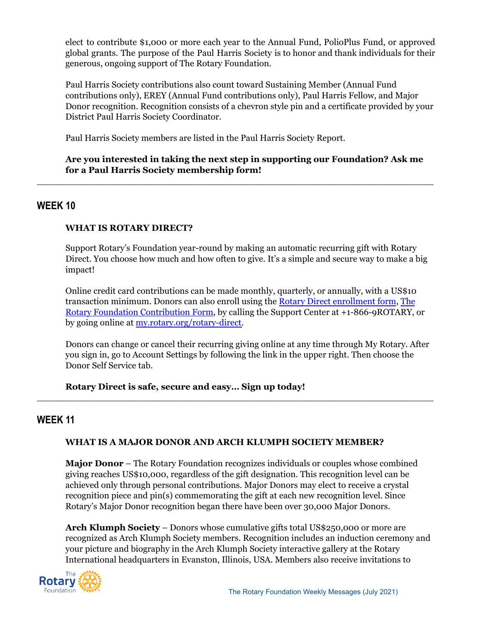elect to contribute \$1,000 or more each year to the Annual Fund, PolioPlus Fund, or approved global grants. The purpose of the Paul Harris Society is to honor and thank individuals for their generous, ongoing support of The Rotary Foundation.

Paul Harris Society contributions also count toward Sustaining Member (Annual Fund contributions only), EREY (Annual Fund contributions only), Paul Harris Fellow, and Major Donor recognition. Recognition consists of a chevron style pin and a certificate provided by your District Paul Harris Society Coordinator.

Paul Harris Society members are listed in the Paul Harris Society Report.

## **Are you interested in taking the next step in supporting our Foundation? Ask me for a Paul Harris Society membership form!**

 $\_$  , and the set of the set of the set of the set of the set of the set of the set of the set of the set of the set of the set of the set of the set of the set of the set of the set of the set of the set of the set of th

## **WEEK 10**

## **WHAT IS ROTARY DIRECT?**

Support Rotary's Foundation year-round by making an automatic recurring gift with Rotary Direct. You choose how much and how often to give. It's a simple and secure way to make a big impact!

Online credit card contributions can be made monthly, quarterly, or annually, with a US\$10 transaction minimum. Donors can also enroll using the Rotary Direct [enrollment](http://www.rotary.org/myrotary/document/10951) form, [The](http://www.rotary.org/document/469) Rotary Foundation [Contribution](http://www.rotary.org/document/469) Form, by calling the Support Center at +1-866-9ROTARY, or by going online at [my.rotary.org/rotary-direct.](https://my.rotary.org/rotary-direct)

Donors can change or cancel their recurring giving online at any time through My Rotary. After you sign in, go to Account Settings by following the link in the upper right. Then choose the Donor Self Service tab.

**Rotary Direct is safe, secure and easy… Sign up today!**

## **WEEK 11**

## **WHAT IS A MAJOR DONOR AND ARCH KLUMPH SOCIETY MEMBER?**

 $\_$  , and the set of the set of the set of the set of the set of the set of the set of the set of the set of the set of the set of the set of the set of the set of the set of the set of the set of the set of the set of th

**Major Donor** – The Rotary Foundation recognizes individuals or couples whose combined giving reaches US\$10,000, regardless of the gift designation. This recognition level can be achieved only through personal contributions. Major Donors may elect to receive a crystal recognition piece and pin(s) commemorating the gift at each new recognition level. Since Rotary's Major Donor recognition began there have been over 30,000 Major Donors.

**Arch Klumph Society** – Donors whose cumulative gifts total US\$250,000 or more are recognized as Arch Klumph Society members. Recognition includes an induction ceremony and your picture and biography in the Arch Klumph Society interactive gallery at the Rotary International headquarters in Evanston, Illinois, USA. Members also receive invitations to

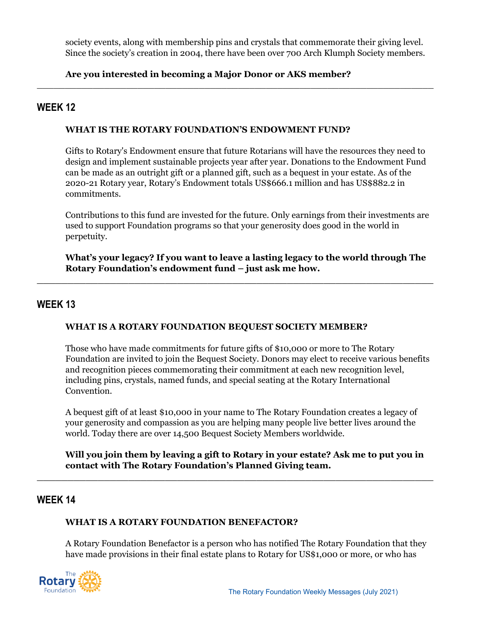society events, along with membership pins and crystals that commemorate their giving level. Since the society's creation in 2004, there have been over 700 Arch Klumph Society members.

 $\_$  , and the set of the set of the set of the set of the set of the set of the set of the set of the set of the set of the set of the set of the set of the set of the set of the set of the set of the set of the set of th

## **Are you interested in becoming a Major Donor or AKS member?**

## **WEEK 12**

## **WHAT IS THE ROTARY FOUNDATION'S ENDOWMENT FUND?**

Gifts to Rotary's Endowment ensure that future Rotarians will have the resources they need to design and implement sustainable projects year after year. Donations to the Endowment Fund can be made as an outright gift or a planned gift, such as a bequest in your estate. As of the 2020-21 Rotary year, Rotary's Endowment totals US\$666.1 million and has US\$882.2 in commitments.

Contributions to this fund are invested for the future. Only earnings from their investments are used to support Foundation programs so that your generosity does good in the world in perpetuity.

**What's your legacy? If you want to leave a lasting legacy to the world through The Rotary Foundation's endowment fund – just ask me how.**

\_\_\_\_\_\_\_\_\_\_\_\_\_\_\_\_\_\_\_\_\_\_\_\_\_\_\_\_\_\_\_\_\_\_\_\_\_\_\_\_\_\_\_\_\_\_\_\_\_\_\_\_\_\_\_\_\_\_\_\_\_\_\_\_\_

## **WEEK 13**

## **WHAT IS A ROTARY FOUNDATION BEQUEST SOCIETY MEMBER?**

Those who have made commitments for future gifts of \$10,000 or more to The Rotary Foundation are invited to join the Bequest Society. Donors may elect to receive various benefits and recognition pieces commemorating their commitment at each new recognition level, including pins, crystals, named funds, and special seating at the Rotary International Convention.

A bequest gift of at least \$10,000 in your name to The Rotary Foundation creates a legacy of your generosity and compassion as you are helping many people live better lives around the world. Today there are over 14,500 Bequest Society Members worldwide.

## **Will you join them by leaving a gift to Rotary in your estate? Ask me to put you in contact with The Rotary Foundation's Planned Giving team.**

\_\_\_\_\_\_\_\_\_\_\_\_\_\_\_\_\_\_\_\_\_\_\_\_\_\_\_\_\_\_\_\_\_\_\_\_\_\_\_\_\_\_\_\_\_\_\_\_\_\_\_\_\_\_\_\_\_\_\_\_\_\_\_\_\_

## **WEEK 14**

## **WHAT IS A ROTARY FOUNDATION BENEFACTOR?**

A Rotary Foundation Benefactor is a person who has notified The Rotary Foundation that they have made provisions in their final estate plans to Rotary for US\$1,000 or more, or who has

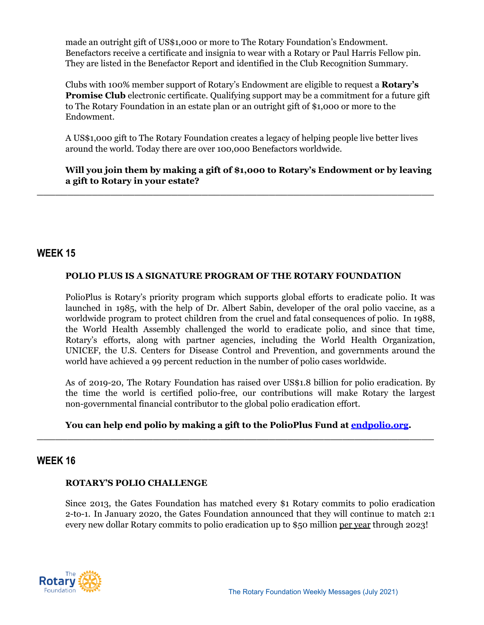made an outright gift of US\$1,000 or more to The Rotary Foundation's Endowment. Benefactors receive a certificate and insignia to wear with a Rotary or Paul Harris Fellow pin. They are listed in the Benefactor Report and identified in the Club Recognition Summary.

Clubs with 100% member support of Rotary's Endowment are eligible to request a **Rotary's Promise Club** electronic certificate. Qualifying support may be a commitment for a future gift to The Rotary Foundation in an estate plan or an outright gift of \$1,000 or more to the Endowment.

A US\$1,000 gift to The Rotary Foundation creates a legacy of helping people live better lives around the world. Today there are over 100,000 Benefactors worldwide.

**\_\_\_\_\_\_\_\_\_\_\_\_\_\_\_\_\_\_\_\_\_\_\_\_\_\_\_\_\_\_\_\_\_\_\_\_\_\_\_\_\_\_\_\_\_\_\_\_\_\_\_\_\_\_\_\_\_\_\_\_\_\_\_\_\_**

**Will you join them by making a gift of \$1,000 to Rotary's Endowment or by leaving a gift to Rotary in your estate?**

## **WEEK 15**

## **POLIO PLUS IS A SIGNATURE PROGRAM OF THE ROTARY FOUNDATION**

PolioPlus is Rotary's priority program which supports global efforts to eradicate polio. It was launched in 1985, with the help of Dr. Albert Sabin, developer of the oral polio vaccine, as a worldwide program to protect children from the cruel and fatal consequences of polio. In 1988, the World Health Assembly challenged the world to eradicate polio, and since that time, Rotary's efforts, along with partner agencies, including the World Health Organization, UNICEF, the U.S. Centers for Disease Control and Prevention, and governments around the world have achieved a 99 percent reduction in the number of polio cases worldwide.

As of 2019-20, The Rotary Foundation has raised over US\$1.8 billion for polio eradication. By the time the world is certified polio-free, our contributions will make Rotary the largest non-governmental financial contributor to the global polio eradication effort.

#### **You can help end polio by making a gift to the PolioPlus Fund at [endpolio.org](https://www.endpolio.org/donate). \_\_\_\_\_\_\_\_\_\_\_\_\_\_\_\_\_\_\_\_\_\_\_\_\_\_\_\_\_\_\_\_\_\_\_\_\_\_\_\_\_\_\_\_\_\_\_\_\_\_\_\_\_\_\_\_\_\_\_\_\_\_\_\_\_**

## **WEEK 16**

#### **ROTARY'S POLIO CHALLENGE**

Since 2013, the Gates Foundation has matched every \$1 Rotary commits to polio eradication 2-to-1. In January 2020, the Gates Foundation announced that they will continue to match 2:1 every new dollar Rotary commits to polio eradication up to \$50 million per year through 2023!

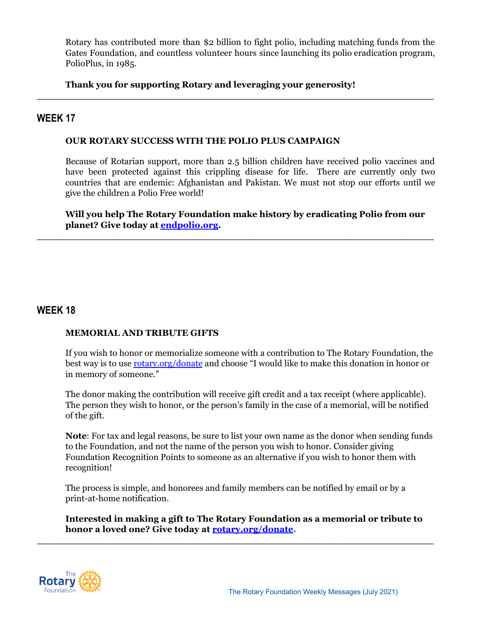Rotary has contributed more than \$2 billion to fight polio, including matching funds from the Gates Foundation, and countless volunteer hours since launching its polio eradication program, PolioPlus, in 1985.

**\_\_\_\_\_\_\_\_\_\_\_\_\_\_\_\_\_\_\_\_\_\_\_\_\_\_\_\_\_\_\_\_\_\_\_\_\_\_\_\_\_\_\_\_\_\_\_\_\_\_\_\_\_\_\_\_\_\_\_\_\_\_\_\_\_**

## **Thank you for supporting Rotary and leveraging your generosity!**

## **WEEK 17**

### **OUR ROTARY SUCCESS WITH THE POLIO PLUS CAMPAIGN**

Because of Rotarian support, more than 2.5 billion children have received polio vaccines and have been protected against this crippling disease for life. There are currently only two countries that are endemic: Afghanistan and Pakistan. We must not stop our efforts until we give the children a Polio Free world!

**Will you help The Rotary Foundation make history by eradicating Polio from our planet? Give today at [endpolio.org](https://www.endpolio.org/donate).**

**\_\_\_\_\_\_\_\_\_\_\_\_\_\_\_\_\_\_\_\_\_\_\_\_\_\_\_\_\_\_\_\_\_\_\_\_\_\_\_\_\_\_\_\_\_\_\_\_\_\_\_\_\_\_\_\_\_\_\_\_\_\_\_\_\_**

## **WEEK 18**

#### **MEMORIAL AND TRIBUTE GIFTS**

If you wish to honor or memorialize someone with a contribution to The Rotary Foundation, the best way is to use [rotary.org/donate](https://www.rotary.org/donate) and choose "I would like to make this donation in honor or in memory of someone."

The donor making the contribution will receive gift credit and a tax receipt (where applicable). The person they wish to honor, or the person's family in the case of a memorial, will be notified of the gift.

**Note**: For tax and legal reasons, be sure to list your own name as the donor when sending funds to the Foundation, and not the name of the person you wish to honor. Consider giving Foundation Recognition Points to someone as an alternative if you wish to honor them with recognition!

The process is simple, and honorees and family members can be notified by email or by a print-at-home notification.

**\_\_\_\_\_\_\_\_\_\_\_\_\_\_\_\_\_\_\_\_\_\_\_\_\_\_\_\_\_\_\_\_\_\_\_\_\_\_\_\_\_\_\_\_\_\_\_\_\_\_\_\_\_\_\_\_\_\_\_\_\_\_\_\_\_**

**Interested in making a gift to The Rotary Foundation as a memorial or tribute to honor a loved one? Give today at [rotary.org/donate](https://www.rotary.org/donate).**

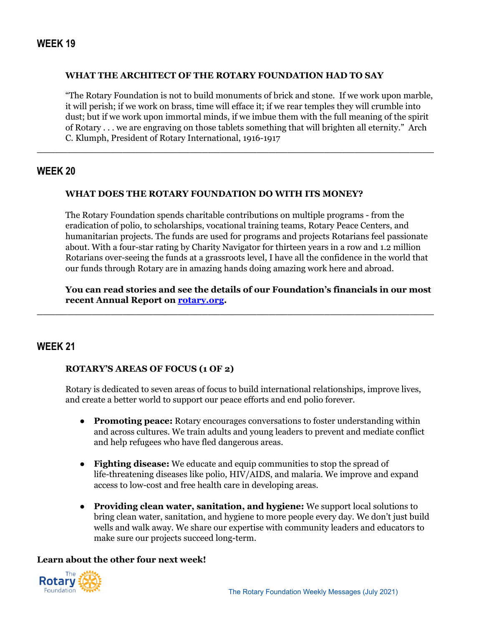#### **WHAT THE ARCHITECT OF THE ROTARY FOUNDATION HAD TO SAY**

"The Rotary Foundation is not to build monuments of brick and stone. If we work upon marble, it will perish; if we work on brass, time will efface it; if we rear temples they will crumble into dust; but if we work upon immortal minds, if we imbue them with the full meaning of the spirit of Rotary . . . we are engraving on those tablets something that will brighten all eternity." Arch C. Klumph, President of Rotary International, 1916-1917

**\_\_\_\_\_\_\_\_\_\_\_\_\_\_\_\_\_\_\_\_\_\_\_\_\_\_\_\_\_\_\_\_\_\_\_\_\_\_\_\_\_\_\_\_\_\_\_\_\_\_\_\_\_\_\_\_\_\_\_\_\_\_\_\_\_**

## **WEEK 20**

#### **WHAT DOES THE ROTARY FOUNDATION DO WITH ITS MONEY?**

The Rotary Foundation spends charitable contributions on multiple programs - from the eradication of polio, to scholarships, vocational training teams, Rotary Peace Centers, and humanitarian projects. The funds are used for programs and projects Rotarians feel passionate about. With a four-star rating by Charity Navigator for thirteen years in a row and 1.2 million Rotarians over-seeing the funds at a grassroots level, I have all the confidence in the world that our funds through Rotary are in amazing hands doing amazing work here and abroad.

**You can read stories and see the details of our Foundation's financials in our most recent Annual Report on [rotary.org](https://www.rotary.org/en/annual-report-2019).**

**\_\_\_\_\_\_\_\_\_\_\_\_\_\_\_\_\_\_\_\_\_\_\_\_\_\_\_\_\_\_\_\_\_\_\_\_\_\_\_\_\_\_\_\_\_\_\_\_\_\_\_\_\_\_\_\_\_\_\_\_\_\_\_\_\_**

## **WEEK 21**

#### **ROTARY'S AREAS OF FOCUS (1 OF 2)**

Rotary is dedicated to seven areas of focus to build international relationships, improve lives, and create a better world to support our peace efforts and end polio forever.

- **Promoting peace:** Rotary encourages conversations to foster understanding within and across cultures. We train adults and young leaders to prevent and mediate conflict and help refugees who have fled dangerous areas.
- **Fighting disease:** We educate and equip communities to stop the spread of life-threatening diseases like polio, HIV/AIDS, and malaria. We improve and expand access to low-cost and free health care in developing areas.
- **Providing clean water, sanitation, and hygiene:** We support local solutions to bring clean water, sanitation, and hygiene to more people every day. We don't just build wells and walk away. We share our expertise with community leaders and educators to make sure our projects succeed long-term.

## **Learn about the other four next week!**

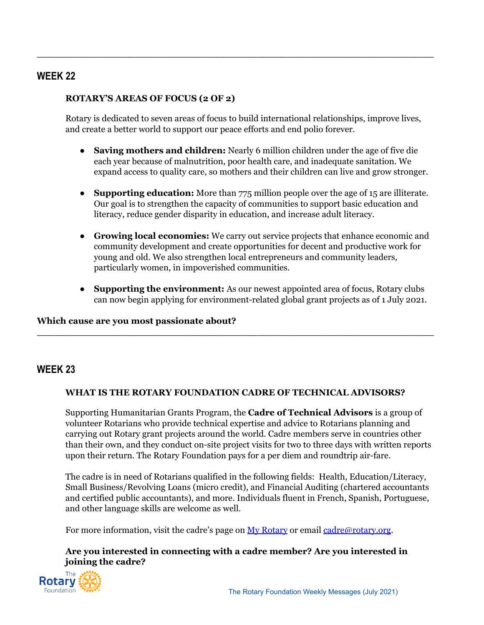## **WEEK 22**

### **ROTARY'S AREAS OF FOCUS (2 OF 2)**

Rotary is dedicated to seven areas of focus to build international relationships, improve lives, and create a better world to support our peace efforts and end polio forever.

**\_\_\_\_\_\_\_\_\_\_\_\_\_\_\_\_\_\_\_\_\_\_\_\_\_\_\_\_\_\_\_\_\_\_\_\_\_\_\_\_\_\_\_\_\_\_\_\_\_\_\_\_\_\_\_\_\_\_\_\_\_\_\_\_\_**

- **Saving mothers and children:** Nearly 6 million children under the age of five die each year because of malnutrition, poor health care, and inadequate sanitation. We expand access to quality care, so mothers and their children can live and grow stronger.
- **Supporting education:** More than 775 million people over the age of 15 are illiterate. Our goal is to strengthen the capacity of communities to support basic education and literacy, reduce gender disparity in education, and increase adult literacy.
- **Growing local economies:** We carry out service projects that enhance economic and community development and create opportunities for decent and productive work for young and old. We also strengthen local entrepreneurs and community leaders, particularly women, in impoverished communities.
- **Supporting the environment:** As our newest appointed area of focus, Rotary clubs can now begin applying for environment-related global grant projects as of 1 July 2021.

#### **Which cause are you most passionate about?**

## **WEEK 23**

#### **WHAT IS THE ROTARY FOUNDATION CADRE OF TECHNICAL ADVISORS?**

**\_\_\_\_\_\_\_\_\_\_\_\_\_\_\_\_\_\_\_\_\_\_\_\_\_\_\_\_\_\_\_\_\_\_\_\_\_\_\_\_\_\_\_\_\_\_\_\_\_\_\_\_\_\_\_\_\_\_\_\_\_\_\_\_\_**

Supporting Humanitarian Grants Program, the **Cadre of Technical Advisors** is a group of volunteer Rotarians who provide technical expertise and advice to Rotarians planning and carrying out Rotary grant projects around the world. Cadre members serve in countries other than their own, and they conduct on-site project visits for two to three days with written reports upon their return. The Rotary Foundation pays for a per diem and roundtrip air-fare.

The cadre is in need of Rotarians qualified in the following fields: Health, Education/Literacy, Small Business/Revolving Loans (micro credit), and Financial Auditing (chartered accountants and certified public accountants), and more. Individuals fluent in French, Spanish, Portuguese, and other language skills are welcome as well.

For more information, visit the cadre's page on My [Rotary](https://my.rotary.org/en/cadre-technical-advisers#:~:text=Dismiss-,Cadre%20of%20Technical%20Advisers,grant%20projects%20around%20the%20world.) or email [cadre@rotary.org.](mailto:cadre@rotary.org)

## **Are you interested in connecting with a cadre member? Are you interested in joining the cadre?**

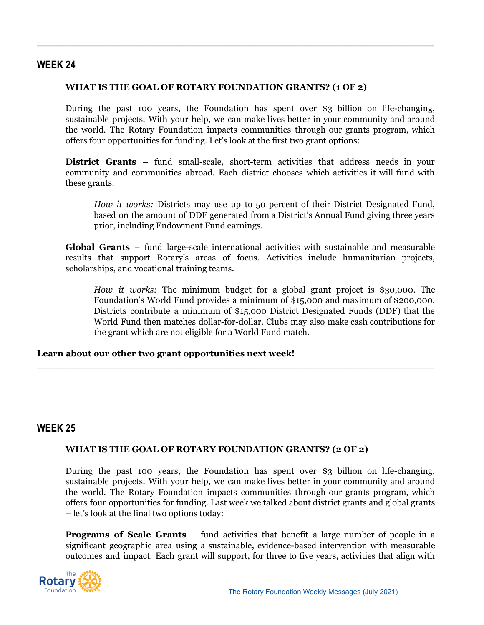## **WEEK 24**

#### **WHAT IS THE GOAL OF ROTARY FOUNDATION GRANTS? (1 OF 2)**

**\_\_\_\_\_\_\_\_\_\_\_\_\_\_\_\_\_\_\_\_\_\_\_\_\_\_\_\_\_\_\_\_\_\_\_\_\_\_\_\_\_\_\_\_\_\_\_\_\_\_\_\_\_\_\_\_\_\_\_\_\_\_\_\_\_**

During the past 100 years, the Foundation has spent over \$3 billion on life-changing, sustainable projects. With your help, we can make lives better in your community and around the world. The Rotary Foundation impacts communities through our grants program, which offers four opportunities for funding. Let's look at the first two grant options:

**District Grants** – fund small-scale, short-term activities that address needs in your community and communities abroad. Each district chooses which activities it will fund with these grants.

*How it works:* Districts may use up to 50 percent of their District Designated Fund, based on the amount of DDF generated from a District's Annual Fund giving three years prior, including Endowment Fund earnings.

**Global Grants** – fund large-scale international activities with sustainable and measurable results that support Rotary's areas of focus. Activities include humanitarian projects, scholarships, and vocational training teams.

**\_\_\_\_\_\_\_\_\_\_\_\_\_\_\_\_\_\_\_\_\_\_\_\_\_\_\_\_\_\_\_\_\_\_\_\_\_\_\_\_\_\_\_\_\_\_\_\_\_\_\_\_\_\_\_\_\_\_\_\_\_\_\_\_\_**

*How it works:* The minimum budget for a global grant project is \$30,000. The Foundation's World Fund provides a minimum of \$15,000 and maximum of \$200,000. Districts contribute a minimum of \$15,000 District Designated Funds (DDF) that the World Fund then matches dollar-for-dollar. Clubs may also make cash contributions for the grant which are not eligible for a World Fund match.

#### **Learn about our other two grant opportunities next week!**

## **WEEK 25**

#### **WHAT IS THE GOAL OF ROTARY FOUNDATION GRANTS? (2 OF 2)**

During the past 100 years, the Foundation has spent over \$3 billion on life-changing, sustainable projects. With your help, we can make lives better in your community and around the world. The Rotary Foundation impacts communities through our grants program, which offers four opportunities for funding. Last week we talked about district grants and global grants – let's look at the final two options today:

**Programs of Scale Grants** – fund activities that benefit a large number of people in a significant geographic area using a sustainable, evidence-based intervention with measurable outcomes and impact. Each grant will support, for three to five years, activities that align with

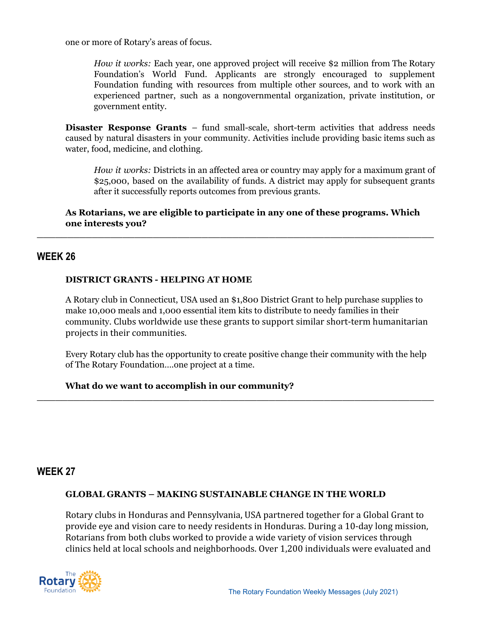one or more of Rotary's areas of focus.

*How it works:* Each year, one approved project will receive \$2 million from The Rotary Foundation's World Fund. Applicants are strongly encouraged to supplement Foundation funding with resources from multiple other sources, and to work with an experienced partner, such as a nongovernmental organization, private institution, or government entity.

**Disaster Response Grants** – fund small-scale, short-term activities that address needs caused by natural disasters in your community. Activities include providing basic items such as water, food, medicine, and clothing.

*How it works:* Districts in an affected area or country may apply for a maximum grant of \$25,000, based on the availability of funds. A district may apply for subsequent grants after it successfully reports outcomes from previous grants.

**As Rotarians, we are eligible to participate in any one of these programs. Which one interests you?**

**\_\_\_\_\_\_\_\_\_\_\_\_\_\_\_\_\_\_\_\_\_\_\_\_\_\_\_\_\_\_\_\_\_\_\_\_\_\_\_\_\_\_\_\_\_\_\_\_\_\_\_\_\_\_\_\_\_\_\_\_\_\_\_\_\_**

## **WEEK 26**

#### **DISTRICT GRANTS - HELPING AT HOME**

A Rotary club in Connecticut, USA used an \$1,800 District Grant to help purchase supplies to make 10,000 meals and 1,000 essential item kits to distribute to needy families in their community. Clubs worldwide use these grants to support similar short-term humanitarian projects in their communities.

Every Rotary club has the opportunity to create positive change their community with the help of The Rotary Foundation….one project at a time.

**\_\_\_\_\_\_\_\_\_\_\_\_\_\_\_\_\_\_\_\_\_\_\_\_\_\_\_\_\_\_\_\_\_\_\_\_\_\_\_\_\_\_\_\_\_\_\_\_\_\_\_\_\_\_\_\_\_\_\_\_\_\_\_\_\_**

#### **What do we want to accomplish in our community?**

## **WEEK 27**

#### **GLOBAL GRANTS – MAKING SUSTAINABLE CHANGE IN THE WORLD**

Rotary clubs in Honduras and Pennsylvania, USA partnered together for a Global Grant to provide eye and vision care to needy residents in Honduras. During a 10-day long mission, Rotarians from both clubs worked to provide a wide variety of vision services through clinics held at local schools and neighborhoods. Over 1,200 individuals were evaluated and

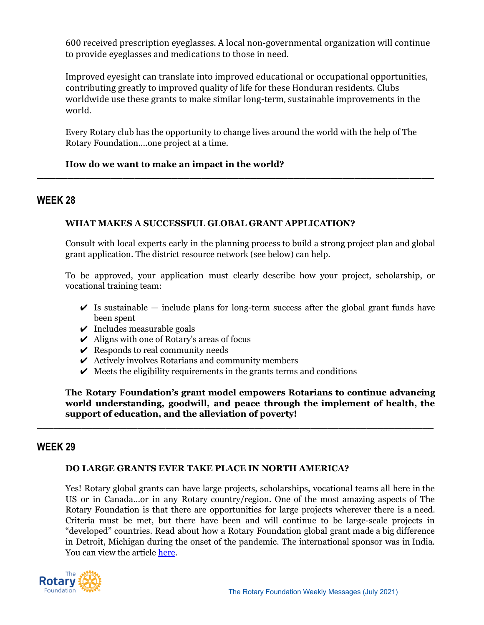600 received prescription eyeglasses. A local non-governmental organization will continue to provide eyeglasses and medications to those in need.

Improved eyesight can translate into improved educational or occupational opportunities, contributing greatly to improved quality of life for these Honduran residents. Clubs worldwide use these grants to make similar long-term, sustainable improvements in the world.

Every Rotary club has the opportunity to change lives around the world with the help of The Rotary Foundation….one project at a time.

**\_\_\_\_\_\_\_\_\_\_\_\_\_\_\_\_\_\_\_\_\_\_\_\_\_\_\_\_\_\_\_\_\_\_\_\_\_\_\_\_\_\_\_\_\_\_\_\_\_\_\_\_\_\_\_\_\_\_\_\_\_\_\_\_\_**

### **How do we want to make an impact in the world?**

## **WEEK 28**

## **WHAT MAKES A SUCCESSFUL GLOBAL GRANT APPLICATION?**

Consult with local experts early in the planning process to build a strong project plan and global grant application. The district resource network (see below) can help.

To be approved, your application must clearly describe how your project, scholarship, or vocational training team:

- $\checkmark$  Is sustainable include plans for long-term success after the global grant funds have been spent
- $\vee$  Includes measurable goals
- $\vee$  Aligns with one of Rotary's areas of focus
- $\vee$  Responds to real community needs
- $\triangleright$  Actively involves Rotarians and community members
- $\vee$  Meets the eligibility requirements in the grants terms and conditions

**The Rotary Foundation's grant model empowers Rotarians to continue advancing world understanding, goodwill, and peace through the implement of health, the support of education, and the alleviation of poverty!**

 $\_$  , and the set of the set of the set of the set of the set of the set of the set of the set of the set of the set of the set of the set of the set of the set of the set of the set of the set of the set of the set of th

## **WEEK 29**

#### **DO LARGE GRANTS EVER TAKE PLACE IN NORTH AMERICA?**

Yes! Rotary global grants can have large projects, scholarships, vocational teams all here in the US or in Canada…or in any Rotary country/region. One of the most amazing aspects of The Rotary Foundation is that there are opportunities for large projects wherever there is a need. Criteria must be met, but there have been and will continue to be large-scale projects in "developed" countries. Read about how a Rotary Foundation global grant made a big difference in Detroit, Michigan during the onset of the pandemic. The international sponsor was in India. You can view the article [here.](https://nam02.safelinks.protection.outlook.com/?url=https%3A%2F%2Fmagazine.rotary.org%2Frotary%2Fjuly_2021%2FMobilePagedArticle.action%3FarticleId%3D1703059%26utm_source%3Dnewsletter%26utm_medium%3Demail%26utm_campaign%3DTXTHE6210625002%26utm_content%3Dgtxcel%23articleId1703059&data=04%7C01%7CEdina.Mehovic%40rotary.org%7C6d23fe1097ba4be88cf808d9e38bb765%7C67b4e0430afd4afb8b94bf96370c8e7f%7C1%7C0%7C637791011517623627%7CUnknown%7CTWFpbGZsb3d8eyJWIjoiMC4wLjAwMDAiLCJQIjoiV2luMzIiLCJBTiI6Ik1haWwiLCJXVCI6Mn0%3D%7C3000&sdata=H%2FnArmxrfF1L2Ld%2FhVpQiuexwguOYwdKZUAbM831NbY%3D&reserved=0)

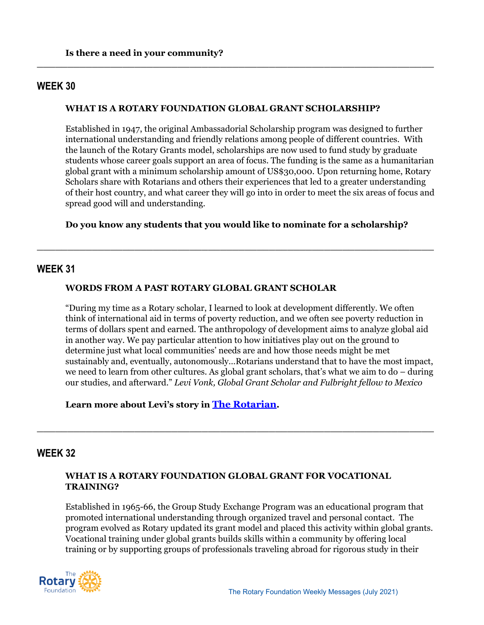### **WEEK 30**

#### **WHAT IS A ROTARY FOUNDATION GLOBAL GRANT SCHOLARSHIP?**

**\_\_\_\_\_\_\_\_\_\_\_\_\_\_\_\_\_\_\_\_\_\_\_\_\_\_\_\_\_\_\_\_\_\_\_\_\_\_\_\_\_\_\_\_\_\_\_\_\_\_\_\_\_\_\_\_\_\_\_\_\_\_\_\_\_**

Established in 1947, the original Ambassadorial Scholarship program was designed to further international understanding and friendly relations among people of different countries. With the launch of the Rotary Grants model, scholarships are now used to fund study by graduate students whose career goals support an area of focus. The funding is the same as a humanitarian global grant with a minimum scholarship amount of US\$30,000. Upon returning home, Rotary Scholars share with Rotarians and others their experiences that led to a greater understanding of their host country, and what career they will go into in order to meet the six areas of focus and spread good will and understanding.

#### **Do you know any students that you would like to nominate for a scholarship?**

**\_\_\_\_\_\_\_\_\_\_\_\_\_\_\_\_\_\_\_\_\_\_\_\_\_\_\_\_\_\_\_\_\_\_\_\_\_\_\_\_\_\_\_\_\_\_\_\_\_\_\_\_\_\_\_\_\_\_\_\_\_\_\_\_\_**

#### **WEEK 31**

#### **WORDS FROM A PAST ROTARY GLOBAL GRANT SCHOLAR**

"During my time as a Rotary scholar, I learned to look at development differently. We often think of international aid in terms of poverty reduction, and we often see poverty reduction in terms of dollars spent and earned. The anthropology of development aims to analyze global aid in another way. We pay particular attention to how initiatives play out on the ground to determine just what local communities' needs are and how those needs might be met sustainably and, eventually, autonomously…Rotarians understand that to have the most impact, we need to learn from other cultures. As global grant scholars, that's what we aim to do – during our studies, and afterward." *Levi Vonk, Global Grant Scholar and Fulbright fellow to Mexico*

**Learn more about Levi's story in [The Rotarian](https://www.rotary.org/en/rotary-global-scholar-helps-migrant-workers-shelters).**

## **WEEK 32**

#### **WHAT IS A ROTARY FOUNDATION GLOBAL GRANT FOR VOCATIONAL TRAINING?**

**\_\_\_\_\_\_\_\_\_\_\_\_\_\_\_\_\_\_\_\_\_\_\_\_\_\_\_\_\_\_\_\_\_\_\_\_\_\_\_\_\_\_\_\_\_\_\_\_\_\_\_\_\_\_\_\_\_\_\_\_\_\_\_\_\_**

Established in 1965-66, the Group Study Exchange Program was an educational program that promoted international understanding through organized travel and personal contact. The program evolved as Rotary updated its grant model and placed this activity within global grants. Vocational training under global grants builds skills within a community by offering local training or by supporting groups of professionals traveling abroad for rigorous study in their

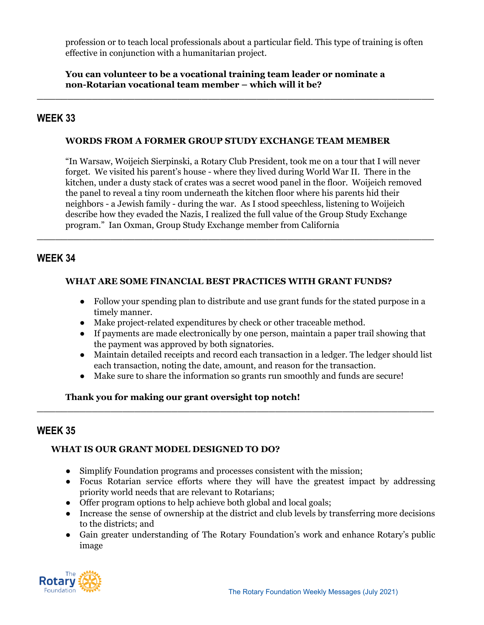profession or to teach local professionals about a particular field. This type of training is often effective in conjunction with a humanitarian project.

**You can volunteer to be a vocational training team leader or nominate a non-Rotarian vocational team member – which will it be?**

**\_\_\_\_\_\_\_\_\_\_\_\_\_\_\_\_\_\_\_\_\_\_\_\_\_\_\_\_\_\_\_\_\_\_\_\_\_\_\_\_\_\_\_\_\_\_\_\_\_\_\_\_\_\_\_\_\_\_\_\_\_\_\_\_\_**

## **WEEK 33**

### **WORDS FROM A FORMER GROUP STUDY EXCHANGE TEAM MEMBER**

"In Warsaw, Woijeich Sierpinski, a Rotary Club President, took me on a tour that I will never forget. We visited his parent's house - where they lived during World War II. There in the kitchen, under a dusty stack of crates was a secret wood panel in the floor. Woijeich removed the panel to reveal a tiny room underneath the kitchen floor where his parents hid their neighbors - a Jewish family - during the war. As I stood speechless, listening to Woijeich describe how they evaded the Nazis, I realized the full value of the Group Study Exchange program." Ian Oxman, Group Study Exchange member from California

## **WEEK 34**

### **WHAT ARE SOME FINANCIAL BEST PRACTICES WITH GRANT FUNDS?**

**\_\_\_\_\_\_\_\_\_\_\_\_\_\_\_\_\_\_\_\_\_\_\_\_\_\_\_\_\_\_\_\_\_\_\_\_\_\_\_\_\_\_\_\_\_\_\_\_\_\_\_\_\_\_\_\_\_\_\_\_\_\_\_\_\_**

- Follow your spending plan to distribute and use grant funds for the stated purpose in a timely manner.
- Make project-related expenditures by check or other traceable method.
- If payments are made electronically by one person, maintain a paper trail showing that the payment was approved by both signatories.
- Maintain detailed receipts and record each transaction in a ledger. The ledger should list each transaction, noting the date, amount, and reason for the transaction.
- Make sure to share the information so grants run smoothly and funds are secure!

**\_\_\_\_\_\_\_\_\_\_\_\_\_\_\_\_\_\_\_\_\_\_\_\_\_\_\_\_\_\_\_\_\_\_\_\_\_\_\_\_\_\_\_\_\_\_\_\_\_\_\_\_\_\_\_\_\_\_\_\_\_\_\_\_\_**

## **Thank you for making our grant oversight top notch!**

## **WEEK 35**

## **WHAT IS OUR GRANT MODEL DESIGNED TO DO?**

- Simplify Foundation programs and processes consistent with the mission;
- Focus Rotarian service efforts where they will have the greatest impact by addressing priority world needs that are relevant to Rotarians;
- Offer program options to help achieve both global and local goals;
- Increase the sense of ownership at the district and club levels by transferring more decisions to the districts; and
- Gain greater understanding of The Rotary Foundation's work and enhance Rotary's public image

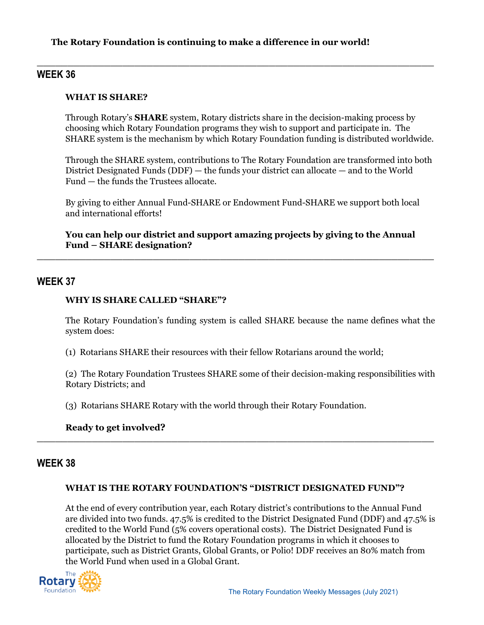### **The Rotary Foundation is continuing to make a difference in our world!**

## **WEEK 36**

### **WHAT IS SHARE?**

Through Rotary's **SHARE** system, Rotary districts share in the decision-making process by choosing which Rotary Foundation programs they wish to support and participate in. The SHARE system is the mechanism by which Rotary Foundation funding is distributed worldwide.

**\_\_\_\_\_\_\_\_\_\_\_\_\_\_\_\_\_\_\_\_\_\_\_\_\_\_\_\_\_\_\_\_\_\_\_\_\_\_\_\_\_\_\_\_\_\_\_\_\_\_\_\_\_\_\_\_\_\_\_\_\_\_\_\_\_**

Through the SHARE system, contributions to The Rotary Foundation are transformed into both District Designated Funds (DDF) — the funds your district can allocate — and to the World Fund — the funds the Trustees allocate.

By giving to either Annual Fund-SHARE or Endowment Fund-SHARE we support both local and international efforts!

**You can help our district and support amazing projects by giving to the Annual Fund – SHARE designation?**

**\_\_\_\_\_\_\_\_\_\_\_\_\_\_\_\_\_\_\_\_\_\_\_\_\_\_\_\_\_\_\_\_\_\_\_\_\_\_\_\_\_\_\_\_\_\_\_\_\_\_\_\_\_\_\_\_\_\_\_\_\_\_\_\_\_**

## **WEEK 37**

#### **WHY IS SHARE CALLED "SHARE"?**

The Rotary Foundation's funding system is called SHARE because the name defines what the system does:

(1) Rotarians SHARE their resources with their fellow Rotarians around the world;

(2) The Rotary Foundation Trustees SHARE some of their decision-making responsibilities with Rotary Districts; and

(3) Rotarians SHARE Rotary with the world through their Rotary Foundation.

## **Ready to get involved?**

## **WEEK 38**

#### **WHAT IS THE ROTARY FOUNDATION'S "DISTRICT DESIGNATED FUND"?**

**\_\_\_\_\_\_\_\_\_\_\_\_\_\_\_\_\_\_\_\_\_\_\_\_\_\_\_\_\_\_\_\_\_\_\_\_\_\_\_\_\_\_\_\_\_\_\_\_\_\_\_\_\_\_\_\_\_\_\_\_\_\_\_\_\_**

At the end of every contribution year, each Rotary district's contributions to the Annual Fund are divided into two funds. 47.5% is credited to the District Designated Fund (DDF) and 47.5% is credited to the World Fund (5% covers operational costs). The District Designated Fund is allocated by the District to fund the Rotary Foundation programs in which it chooses to participate, such as District Grants, Global Grants, or Polio! DDF receives an 80% match from the World Fund when used in a Global Grant.

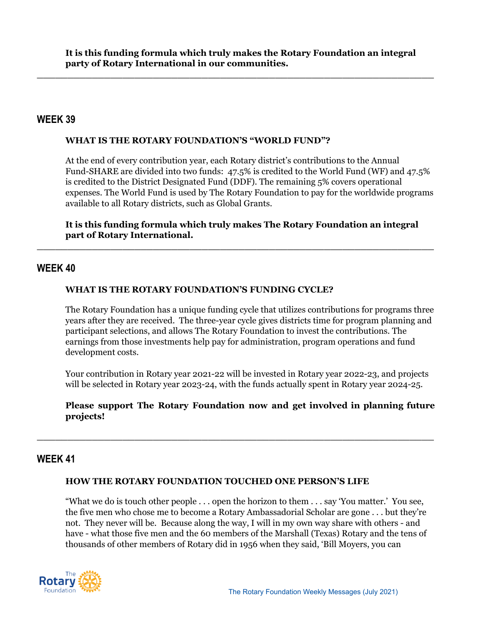**\_\_\_\_\_\_\_\_\_\_\_\_\_\_\_\_\_\_\_\_\_\_\_\_\_\_\_\_\_\_\_\_\_\_\_\_\_\_\_\_\_\_\_\_\_\_\_\_\_\_\_\_\_\_\_\_\_\_\_\_\_\_\_\_\_**

## **WEEK 39**

#### **WHAT IS THE ROTARY FOUNDATION'S "WORLD FUND"?**

At the end of every contribution year, each Rotary district's contributions to the Annual Fund-SHARE are divided into two funds: 47.5% is credited to the World Fund (WF) and 47.5% is credited to the District Designated Fund (DDF). The remaining 5% covers operational expenses. The World Fund is used by The Rotary Foundation to pay for the worldwide programs available to all Rotary districts, such as Global Grants.

**It is this funding formula which truly makes The Rotary Foundation an integral part of Rotary International.**

**\_\_\_\_\_\_\_\_\_\_\_\_\_\_\_\_\_\_\_\_\_\_\_\_\_\_\_\_\_\_\_\_\_\_\_\_\_\_\_\_\_\_\_\_\_\_\_\_\_\_\_\_\_\_\_\_\_\_\_\_\_\_\_\_\_**

## **WEEK 40**

#### **WHAT IS THE ROTARY FOUNDATION'S FUNDING CYCLE?**

The Rotary Foundation has a unique funding cycle that utilizes contributions for programs three years after they are received. The three-year cycle gives districts time for program planning and participant selections, and allows The Rotary Foundation to invest the contributions. The earnings from those investments help pay for administration, program operations and fund development costs.

Your contribution in Rotary year 2021-22 will be invested in Rotary year 2022-23, and projects will be selected in Rotary year 2023-24, with the funds actually spent in Rotary year 2024-25.

### **Please support The Rotary Foundation now and get involved in planning future projects!**

**\_\_\_\_\_\_\_\_\_\_\_\_\_\_\_\_\_\_\_\_\_\_\_\_\_\_\_\_\_\_\_\_\_\_\_\_\_\_\_\_\_\_\_\_\_\_\_\_\_\_\_\_\_\_\_\_\_\_\_\_\_\_\_\_\_**

## **WEEK 41**

#### **HOW THE ROTARY FOUNDATION TOUCHED ONE PERSON'S LIFE**

"What we do is touch other people . . . open the horizon to them . . . say 'You matter.' You see, the five men who chose me to become a Rotary Ambassadorial Scholar are gone . . . but they're not. They never will be. Because along the way, I will in my own way share with others - and have - what those five men and the 60 members of the Marshall (Texas) Rotary and the tens of thousands of other members of Rotary did in 1956 when they said, 'Bill Moyers, you can

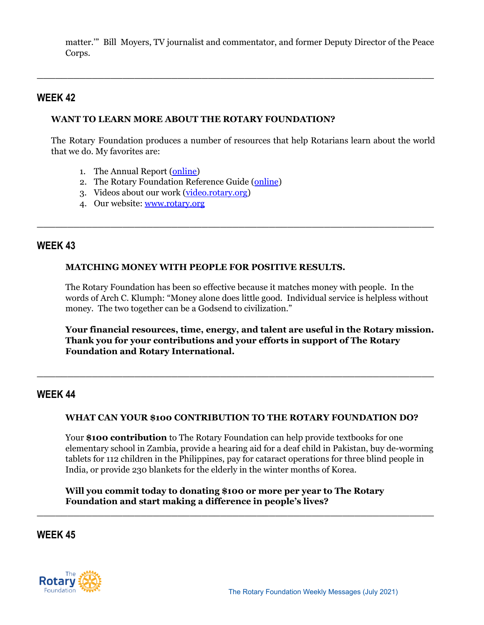matter.'" Bill Moyers, TV journalist and commentator, and former Deputy Director of the Peace Corps.

**\_\_\_\_\_\_\_\_\_\_\_\_\_\_\_\_\_\_\_\_\_\_\_\_\_\_\_\_\_\_\_\_\_\_\_\_\_\_\_\_\_\_\_\_\_\_\_\_\_\_\_\_\_\_\_\_\_\_\_\_\_\_\_\_\_**

## **WEEK 42**

### **WANT TO LEARN MORE ABOUT THE ROTARY FOUNDATION?**

The Rotary Foundation produces a number of resources that help Rotarians learn about the world that we do. My favorites are:

**\_\_\_\_\_\_\_\_\_\_\_\_\_\_\_\_\_\_\_\_\_\_\_\_\_\_\_\_\_\_\_\_\_\_\_\_\_\_\_\_\_\_\_\_\_\_\_\_\_\_\_\_\_\_\_\_\_\_\_\_\_\_\_\_\_**

- 1. The Annual Report [\(online\)](https://www.rotary.org/en/annual-report-2021)
- 2. The Rotary Foundation Reference Guide ([online](https://my.rotary.org/en/document/rotary-foundation-reference-guide))
- 3. Videos about our work [\(video.rotary.org](http://video.rotary.org/causes/))
- 4. Our website: [www.rotary.org](https://www.rotary.org/en/about-rotary/rotary-foundation)

## **WEEK 43**

#### **MATCHING MONEY WITH PEOPLE FOR POSITIVE RESULTS.**

The Rotary Foundation has been so effective because it matches money with people. In the words of Arch C. Klumph: "Money alone does little good. Individual service is helpless without money. The two together can be a Godsend to civilization."

**Your financial resources, time, energy, and talent are useful in the Rotary mission. Thank you for your contributions and your efforts in support of The Rotary Foundation and Rotary International.**

## **WEEK 44**

#### **WHAT CAN YOUR \$100 CONTRIBUTION TO THE ROTARY FOUNDATION DO?**

**\_\_\_\_\_\_\_\_\_\_\_\_\_\_\_\_\_\_\_\_\_\_\_\_\_\_\_\_\_\_\_\_\_\_\_\_\_\_\_\_\_\_\_\_\_\_\_\_\_\_\_\_\_\_\_\_\_\_\_\_\_\_\_\_\_**

Your **\$100 contribution** to The Rotary Foundation can help provide textbooks for one elementary school in Zambia, provide a hearing aid for a deaf child in Pakistan, buy de-worming tablets for 112 children in the Philippines, pay for cataract operations for three blind people in India, or provide 230 blankets for the elderly in the winter months of Korea.

**Will you commit today to donating \$100 or more per year to The Rotary Foundation and start making a difference in people's lives?**

**\_\_\_\_\_\_\_\_\_\_\_\_\_\_\_\_\_\_\_\_\_\_\_\_\_\_\_\_\_\_\_\_\_\_\_\_\_\_\_\_\_\_\_\_\_\_\_\_\_\_\_\_\_\_\_\_\_\_\_\_\_\_\_\_\_**

## **WEEK 45**

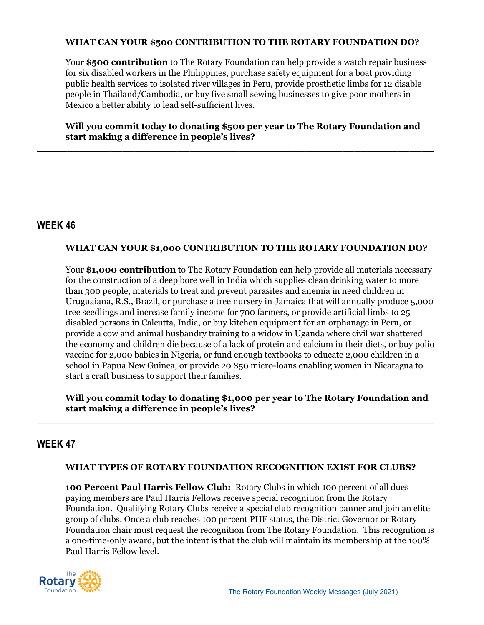#### **WHAT CAN YOUR \$500 CONTRIBUTION TO THE ROTARY FOUNDATION DO?**

Your \$500 **contribution** to The Rotary Foundation can help provide a watch repair business for six disabled workers in the Philippines, purchase safety equipment for a boat providing public health services to isolated river villages in Peru, provide prosthetic limbs for 12 disable people in Thailand/Cambodia, or buy five small sewing businesses to give poor mothers in Mexico a better ability to lead self-sufficient lives.

**Will you commit today to donating \$500 per year to The Rotary Foundation and start making a difference in people's lives?**

**\_\_\_\_\_\_\_\_\_\_\_\_\_\_\_\_\_\_\_\_\_\_\_\_\_\_\_\_\_\_\_\_\_\_\_\_\_\_\_\_\_\_\_\_\_\_\_\_\_\_\_\_\_\_\_\_\_\_\_\_\_\_\_\_\_**

## **WEEK 46**

## **WHAT CAN YOUR \$1,000 CONTRIBUTION TO THE ROTARY FOUNDATION DO?**

Your \$1,000 **contribution** to The Rotary Foundation can help provide all materials necessary for the construction of a deep bore well in India which supplies clean drinking water to more than 300 people, materials to treat and prevent parasites and anemia in need children in Uruguaiana, R.S., Brazil, or purchase a tree nursery in Jamaica that will annually produce 5,000 tree seedlings and increase family income for 700 farmers, or provide artificial limbs to 25 disabled persons in Calcutta, India, or buy kitchen equipment for an orphanage in Peru, or provide a cow and animal husbandry training to a widow in Uganda where civil war shattered the economy and children die because of a lack of protein and calcium in their diets, or buy polio vaccine for 2,000 babies in Nigeria, or fund enough textbooks to educate 2,000 children in a school in Papua New Guinea, or provide 20 \$50 micro-loans enabling women in Nicaragua to start a craft business to support their families.

**Will you commit today to donating \$1,000 per year to The Rotary Foundation and start making a difference in people's lives?**

**\_\_\_\_\_\_\_\_\_\_\_\_\_\_\_\_\_\_\_\_\_\_\_\_\_\_\_\_\_\_\_\_\_\_\_\_\_\_\_\_\_\_\_\_\_\_\_\_\_\_\_\_\_\_\_\_\_\_\_\_\_\_\_\_\_**

## **WEEK 47**

## **WHAT TYPES OF ROTARY FOUNDATION RECOGNITION EXIST FOR CLUBS?**

**100 Percent Paul Harris Fellow Club:** Rotary Clubs in which 100 percent of all dues paying members are Paul Harris Fellows receive special recognition from the Rotary Foundation. Qualifying Rotary Clubs receive a special club recognition banner and join an elite group of clubs. Once a club reaches 100 percent PHF status, the District Governor or Rotary Foundation chair must request the recognition from The Rotary Foundation. This recognition is a one-time-only award, but the intent is that the club will maintain its membership at the 100% Paul Harris Fellow level.

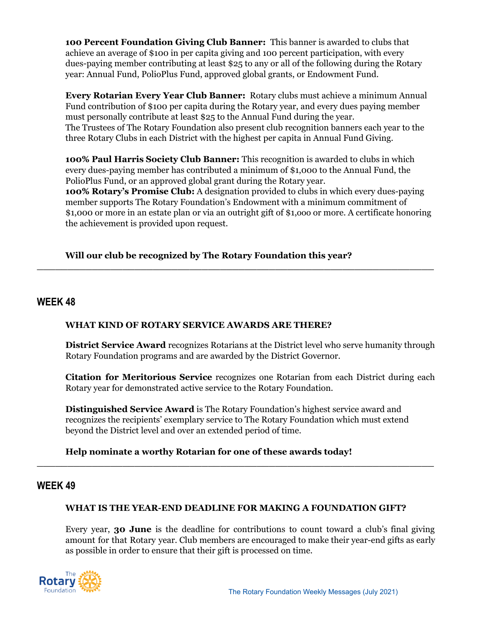**100 Percent Foundation Giving Club Banner:** This banner is awarded to clubs that achieve an average of \$100 in per capita giving and 100 percent participation, with every dues-paying member contributing at least \$25 to any or all of the following during the Rotary year: Annual Fund, PolioPlus Fund, approved global grants, or Endowment Fund.

**Every Rotarian Every Year Club Banner:** Rotary clubs must achieve a minimum Annual Fund contribution of \$100 per capita during the Rotary year, and every dues paying member must personally contribute at least \$25 to the Annual Fund during the year. The Trustees of The Rotary Foundation also present club recognition banners each year to the three Rotary Clubs in each District with the highest per capita in Annual Fund Giving.

**100% Paul Harris Society Club Banner:** This recognition is awarded to clubs in which every dues-paying member has contributed a minimum of \$1,000 to the Annual Fund, the PolioPlus Fund, or an approved global grant during the Rotary year. **100% Rotary's Promise Club:** A designation provided to clubs in which every dues-paying member supports The Rotary Foundation's Endowment with a minimum commitment of \$1,000 or more in an estate plan or via an outright gift of \$1,ooo or more. A certificate honoring the achievement is provided upon request.

**\_\_\_\_\_\_\_\_\_\_\_\_\_\_\_\_\_\_\_\_\_\_\_\_\_\_\_\_\_\_\_\_\_\_\_\_\_\_\_\_\_\_\_\_\_\_\_\_\_\_\_\_\_\_\_\_\_\_\_\_\_\_\_\_\_**

## **Will our club be recognized by The Rotary Foundation this year?**

## **WEEK 48**

#### **WHAT KIND OF ROTARY SERVICE AWARDS ARE THERE?**

**District Service Award** recognizes Rotarians at the District level who serve humanity through Rotary Foundation programs and are awarded by the District Governor.

**Citation for Meritorious Service** recognizes one Rotarian from each District during each Rotary year for demonstrated active service to the Rotary Foundation.

**Distinguished Service Award** is The Rotary Foundation's highest service award and recognizes the recipients' exemplary service to The Rotary Foundation which must extend beyond the District level and over an extended period of time.

#### **Help nominate a worthy Rotarian for one of these awards today!**

## **WEEK 49**

#### **WHAT IS THE YEAR-END DEADLINE FOR MAKING A FOUNDATION GIFT?**

**\_\_\_\_\_\_\_\_\_\_\_\_\_\_\_\_\_\_\_\_\_\_\_\_\_\_\_\_\_\_\_\_\_\_\_\_\_\_\_\_\_\_\_\_\_\_\_\_\_\_\_\_\_\_\_\_\_\_\_\_\_\_\_\_\_**

Every year, **30 June** is the deadline for contributions to count toward a club's final giving amount for that Rotary year. Club members are encouraged to make their year-end gifts as early as possible in order to ensure that their gift is processed on time.